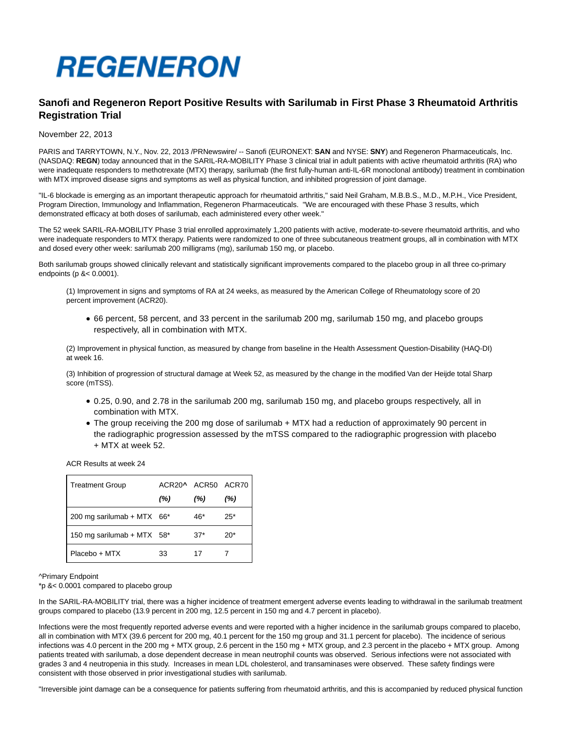

# **Sanofi and Regeneron Report Positive Results with Sarilumab in First Phase 3 Rheumatoid Arthritis Registration Trial**

# November 22, 2013

PARIS and TARRYTOWN, N.Y., Nov. 22, 2013 /PRNewswire/ -- Sanofi (EURONEXT: **SAN** and NYSE: **SNY**) and Regeneron Pharmaceuticals, Inc. (NASDAQ: **REGN**) today announced that in the SARIL-RA-MOBILITY Phase 3 clinical trial in adult patients with active rheumatoid arthritis (RA) who were inadequate responders to methotrexate (MTX) therapy, sarilumab (the first fully-human anti-IL-6R monoclonal antibody) treatment in combination with MTX improved disease signs and symptoms as well as physical function, and inhibited progression of joint damage.

"IL-6 blockade is emerging as an important therapeutic approach for rheumatoid arthritis," said Neil Graham, M.B.B.S., M.D., M.P.H., Vice President, Program Direction, Immunology and Inflammation, Regeneron Pharmaceuticals. "We are encouraged with these Phase 3 results, which demonstrated efficacy at both doses of sarilumab, each administered every other week."

The 52 week SARIL-RA-MOBILITY Phase 3 trial enrolled approximately 1,200 patients with active, moderate-to-severe rheumatoid arthritis, and who were inadequate responders to MTX therapy. Patients were randomized to one of three subcutaneous treatment groups, all in combination with MTX and dosed every other week: sarilumab 200 milligrams (mg), sarilumab 150 mg, or placebo.

Both sarilumab groups showed clinically relevant and statistically significant improvements compared to the placebo group in all three co-primary endpoints (p &< 0.0001).

(1) Improvement in signs and symptoms of RA at 24 weeks, as measured by the American College of Rheumatology score of 20 percent improvement (ACR20).

66 percent, 58 percent, and 33 percent in the sarilumab 200 mg, sarilumab 150 mg, and placebo groups respectively, all in combination with MTX.

(2) Improvement in physical function, as measured by change from baseline in the Health Assessment Question-Disability (HAQ-DI) at week 16.

(3) Inhibition of progression of structural damage at Week 52, as measured by the change in the modified Van der Heijde total Sharp score (mTSS).

- 0.25, 0.90, and 2.78 in the sarilumab 200 mg, sarilumab 150 mg, and placebo groups respectively, all in combination with MTX.
- The group receiving the 200 mg dose of sarilumab + MTX had a reduction of approximately 90 percent in the radiographic progression assessed by the mTSS compared to the radiographic progression with placebo + MTX at week 52.

ACR Results at week 24

| <b>Treatment Group</b>     | ACR20^ ACR50 ACR70 |       |       |
|----------------------------|--------------------|-------|-------|
|                            | (%)                | (%)   | (%)   |
| 200 mg sarilumab + MTX 66* |                    | 46*   | $25*$ |
| 150 mg sarilumab + MTX 58* |                    | $37*$ | $20*$ |
| Placebo + MTX              | 33                 | 17    |       |

^Primary Endpoint

\*p &< 0.0001 compared to placebo group

In the SARIL-RA-MOBILITY trial, there was a higher incidence of treatment emergent adverse events leading to withdrawal in the sarilumab treatment groups compared to placebo (13.9 percent in 200 mg, 12.5 percent in 150 mg and 4.7 percent in placebo).

Infections were the most frequently reported adverse events and were reported with a higher incidence in the sarilumab groups compared to placebo, all in combination with MTX (39.6 percent for 200 mg, 40.1 percent for the 150 mg group and 31.1 percent for placebo). The incidence of serious infections was 4.0 percent in the 200 mg + MTX group, 2.6 percent in the 150 mg + MTX group, and 2.3 percent in the placebo + MTX group. Among patients treated with sarilumab, a dose dependent decrease in mean neutrophil counts was observed. Serious infections were not associated with grades 3 and 4 neutropenia in this study. Increases in mean LDL cholesterol, and transaminases were observed. These safety findings were consistent with those observed in prior investigational studies with sarilumab.

"Irreversible joint damage can be a consequence for patients suffering from rheumatoid arthritis, and this is accompanied by reduced physical function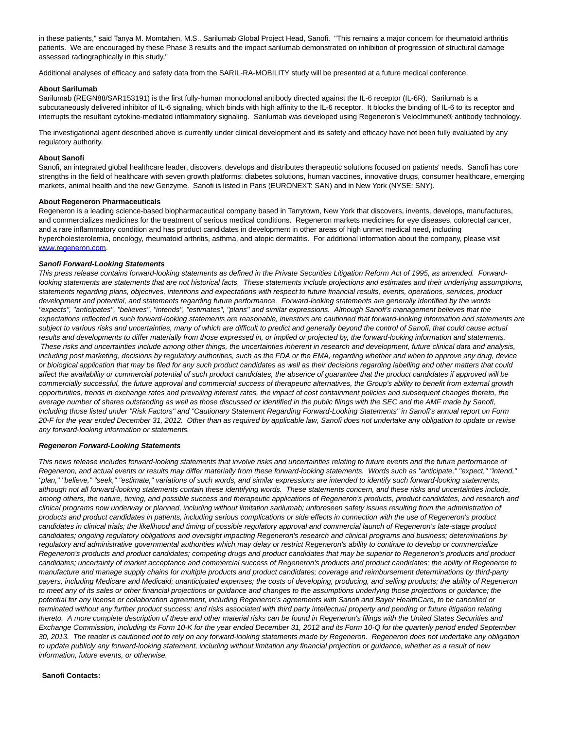in these patients," said Tanya M. Momtahen, M.S., Sarilumab Global Project Head, Sanofi. "This remains a major concern for rheumatoid arthritis patients. We are encouraged by these Phase 3 results and the impact sarilumab demonstrated on inhibition of progression of structural damage assessed radiographically in this study."

Additional analyses of efficacy and safety data from the SARIL-RA-MOBILITY study will be presented at a future medical conference.

## **About Sarilumab**

Sarilumab (REGN88/SAR153191) is the first fully-human monoclonal antibody directed against the IL-6 receptor (IL-6R). Sarilumab is a subcutaneously delivered inhibitor of IL-6 signaling, which binds with high affinity to the IL-6 receptor. It blocks the binding of IL-6 to its receptor and interrupts the resultant cytokine-mediated inflammatory signaling. Sarilumab was developed using Regeneron's VelocImmune® antibody technology.

The investigational agent described above is currently under clinical development and its safety and efficacy have not been fully evaluated by any regulatory authority.

## **About Sanofi**

Sanofi, an integrated global healthcare leader, discovers, develops and distributes therapeutic solutions focused on patients' needs. Sanofi has core strengths in the field of healthcare with seven growth platforms: diabetes solutions, human vaccines, innovative drugs, consumer healthcare, emerging markets, animal health and the new Genzyme. Sanofi is listed in Paris (EURONEXT: SAN) and in New York (NYSE: SNY).

# **About Regeneron Pharmaceuticals**

Regeneron is a leading science-based biopharmaceutical company based in Tarrytown, New York that discovers, invents, develops, manufactures, and commercializes medicines for the treatment of serious medical conditions. Regeneron markets medicines for eye diseases, colorectal cancer, and a rare inflammatory condition and has product candidates in development in other areas of high unmet medical need, including hypercholesterolemia, oncology, rheumatoid arthritis, asthma, and atopic dermatitis. For additional information about the company, please visit [www.regeneron.com.](http://www.regeneron.com/)

## **Sanofi Forward-Looking Statements**

This press release contains forward-looking statements as defined in the Private Securities Litigation Reform Act of 1995, as amended. Forwardlooking statements are statements that are not historical facts. These statements include projections and estimates and their underlying assumptions, statements regarding plans, objectives, intentions and expectations with respect to future financial results, events, operations, services, product development and potential, and statements regarding future performance. Forward-looking statements are generally identified by the words "expects", "anticipates", "believes", "intends", "estimates", "plans" and similar expressions. Although Sanofi's management believes that the expectations reflected in such forward-looking statements are reasonable, investors are cautioned that forward-looking information and statements are subject to various risks and uncertainties, many of which are difficult to predict and generally beyond the control of Sanofi, that could cause actual results and developments to differ materially from those expressed in, or implied or projected by, the forward-looking information and statements. These risks and uncertainties include among other things, the uncertainties inherent in research and development, future clinical data and analysis, including post marketing, decisions by regulatory authorities, such as the FDA or the EMA, regarding whether and when to approve any drug, device or biological application that may be filed for any such product candidates as well as their decisions regarding labelling and other matters that could affect the availability or commercial potential of such product candidates, the absence of guarantee that the product candidates if approved will be commercially successful, the future approval and commercial success of therapeutic alternatives, the Group's ability to benefit from external growth opportunities, trends in exchange rates and prevailing interest rates, the impact of cost containment policies and subsequent changes thereto, the average number of shares outstanding as well as those discussed or identified in the public filings with the SEC and the AMF made by Sanofi, including those listed under "Risk Factors" and "Cautionary Statement Regarding Forward-Looking Statements" in Sanofi's annual report on Form 20-F for the year ended December 31, 2012. Other than as required by applicable law, Sanofi does not undertake any obligation to update or revise any forward-looking information or statements.

#### **Regeneron Forward-Looking Statements**

This news release includes forward-looking statements that involve risks and uncertainties relating to future events and the future performance of Regeneron, and actual events or results may differ materially from these forward-looking statements. Words such as "anticipate," "expect," "intend," "plan," "believe," "seek," "estimate," variations of such words, and similar expressions are intended to identify such forward-looking statements, although not all forward-looking statements contain these identifying words. These statements concern, and these risks and uncertainties include, among others, the nature, timing, and possible success and therapeutic applications of Regeneron's products, product candidates, and research and clinical programs now underway or planned, including without limitation sarilumab; unforeseen safety issues resulting from the administration of products and product candidates in patients, including serious complications or side effects in connection with the use of Regeneron's product candidates in clinical trials; the likelihood and timing of possible regulatory approval and commercial launch of Regeneron's late-stage product candidates; ongoing regulatory obligations and oversight impacting Regeneron's research and clinical programs and business; determinations by regulatory and administrative governmental authorities which may delay or restrict Regeneron's ability to continue to develop or commercialize Regeneron's products and product candidates; competing drugs and product candidates that may be superior to Regeneron's products and product candidates; uncertainty of market acceptance and commercial success of Regeneron's products and product candidates; the ability of Regeneron to manufacture and manage supply chains for multiple products and product candidates; coverage and reimbursement determinations by third-party payers, including Medicare and Medicaid; unanticipated expenses; the costs of developing, producing, and selling products; the ability of Regeneron to meet any of its sales or other financial projections or guidance and changes to the assumptions underlying those projections or guidance; the potential for any license or collaboration agreement, including Regeneron's agreements with Sanofi and Bayer HealthCare, to be cancelled or terminated without any further product success; and risks associated with third party intellectual property and pending or future litigation relating thereto. A more complete description of these and other material risks can be found in Regeneron's filings with the United States Securities and Exchange Commission, including its Form 10-K for the year ended December 31, 2012 and its Form 10-Q for the quarterly period ended September 30, 2013. The reader is cautioned not to rely on any forward-looking statements made by Regeneron. Regeneron does not undertake any obligation to update publicly any forward-looking statement, including without limitation any financial projection or guidance, whether as a result of new information, future events, or otherwise.

#### **Sanofi Contacts:**